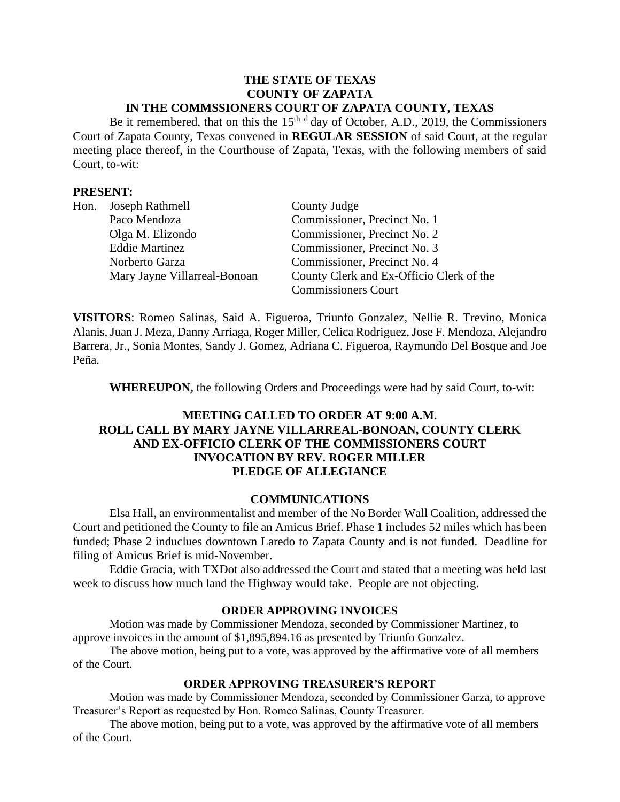#### **THE STATE OF TEXAS COUNTY OF ZAPATA IN THE COMMSSIONERS COURT OF ZAPATA COUNTY, TEXAS**

Be it remembered, that on this the  $15<sup>th-d</sup>$  day of October, A.D., 2019, the Commissioners Court of Zapata County, Texas convened in **REGULAR SESSION** of said Court, at the regular meeting place thereof, in the Courthouse of Zapata, Texas, with the following members of said Court, to-wit:

### **PRESENT:**

|  | Hon. Joseph Rathmell         | County Judge                             |
|--|------------------------------|------------------------------------------|
|  | Paco Mendoza                 | Commissioner, Precinct No. 1             |
|  | Olga M. Elizondo             | Commissioner, Precinct No. 2             |
|  | <b>Eddie Martinez</b>        | Commissioner, Precinct No. 3             |
|  | Norberto Garza               | Commissioner, Precinct No. 4             |
|  | Mary Jayne Villarreal-Bonoan | County Clerk and Ex-Officio Clerk of the |
|  |                              | <b>Commissioners Court</b>               |

**VISITORS**: Romeo Salinas, Said A. Figueroa, Triunfo Gonzalez, Nellie R. Trevino, Monica Alanis, Juan J. Meza, Danny Arriaga, Roger Miller, Celica Rodriguez, Jose F. Mendoza, Alejandro Barrera, Jr., Sonia Montes, Sandy J. Gomez, Adriana C. Figueroa, Raymundo Del Bosque and Joe Peña.

**WHEREUPON,** the following Orders and Proceedings were had by said Court, to-wit:

## **MEETING CALLED TO ORDER AT 9:00 A.M. ROLL CALL BY MARY JAYNE VILLARREAL-BONOAN, COUNTY CLERK AND EX-OFFICIO CLERK OF THE COMMISSIONERS COURT INVOCATION BY REV. ROGER MILLER PLEDGE OF ALLEGIANCE**

#### **COMMUNICATIONS**

Elsa Hall, an environmentalist and member of the No Border Wall Coalition, addressed the Court and petitioned the County to file an Amicus Brief. Phase 1 includes 52 miles which has been funded; Phase 2 induclues downtown Laredo to Zapata County and is not funded. Deadline for filing of Amicus Brief is mid-November.

Eddie Gracia, with TXDot also addressed the Court and stated that a meeting was held last week to discuss how much land the Highway would take. People are not objecting.

#### **ORDER APPROVING INVOICES**

Motion was made by Commissioner Mendoza, seconded by Commissioner Martinez, to approve invoices in the amount of \$1,895,894.16 as presented by Triunfo Gonzalez.

The above motion, being put to a vote, was approved by the affirmative vote of all members of the Court.

#### **ORDER APPROVING TREASURER'S REPORT**

Motion was made by Commissioner Mendoza, seconded by Commissioner Garza, to approve Treasurer's Report as requested by Hon. Romeo Salinas, County Treasurer.

The above motion, being put to a vote, was approved by the affirmative vote of all members of the Court.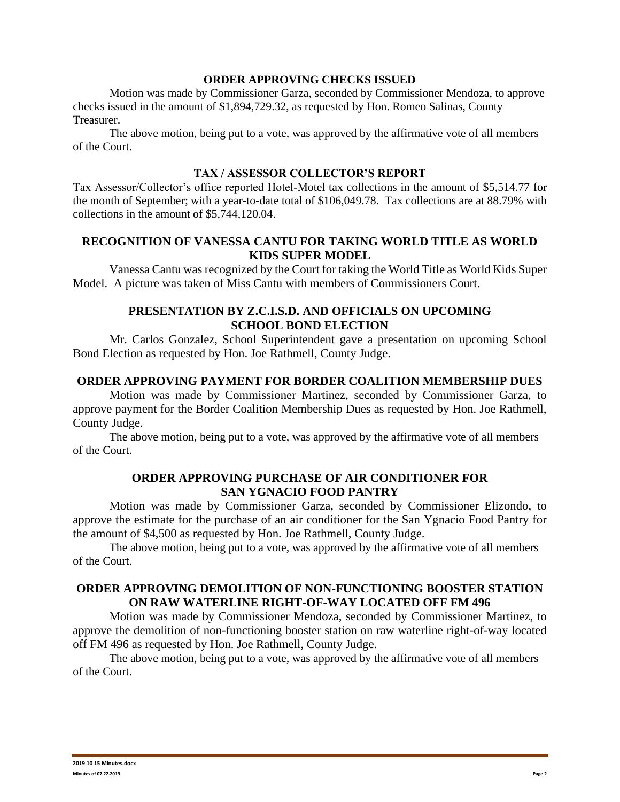#### **ORDER APPROVING CHECKS ISSUED**

Motion was made by Commissioner Garza, seconded by Commissioner Mendoza, to approve checks issued in the amount of \$1,894,729.32, as requested by Hon. Romeo Salinas, County Treasurer.

The above motion, being put to a vote, was approved by the affirmative vote of all members of the Court.

### **TAX / ASSESSOR COLLECTOR'S REPORT**

Tax Assessor/Collector's office reported Hotel-Motel tax collections in the amount of \$5,514.77 for the month of September; with a year-to-date total of \$106,049.78. Tax collections are at 88.79% with collections in the amount of \$5,744,120.04.

#### **RECOGNITION OF VANESSA CANTU FOR TAKING WORLD TITLE AS WORLD KIDS SUPER MODEL**

Vanessa Cantu was recognized by the Court for taking the World Title as World Kids Super Model. A picture was taken of Miss Cantu with members of Commissioners Court.

### **PRESENTATION BY Z.C.I.S.D. AND OFFICIALS ON UPCOMING SCHOOL BOND ELECTION**

Mr. Carlos Gonzalez, School Superintendent gave a presentation on upcoming School Bond Election as requested by Hon. Joe Rathmell, County Judge.

#### **ORDER APPROVING PAYMENT FOR BORDER COALITION MEMBERSHIP DUES**

Motion was made by Commissioner Martinez, seconded by Commissioner Garza, to approve payment for the Border Coalition Membership Dues as requested by Hon. Joe Rathmell, County Judge.

The above motion, being put to a vote, was approved by the affirmative vote of all members of the Court.

### **ORDER APPROVING PURCHASE OF AIR CONDITIONER FOR SAN YGNACIO FOOD PANTRY**

Motion was made by Commissioner Garza, seconded by Commissioner Elizondo, to approve the estimate for the purchase of an air conditioner for the San Ygnacio Food Pantry for the amount of \$4,500 as requested by Hon. Joe Rathmell, County Judge.

The above motion, being put to a vote, was approved by the affirmative vote of all members of the Court.

# **ORDER APPROVING DEMOLITION OF NON-FUNCTIONING BOOSTER STATION ON RAW WATERLINE RIGHT-OF-WAY LOCATED OFF FM 496**

Motion was made by Commissioner Mendoza, seconded by Commissioner Martinez, to approve the demolition of non-functioning booster station on raw waterline right-of-way located off FM 496 as requested by Hon. Joe Rathmell, County Judge.

The above motion, being put to a vote, was approved by the affirmative vote of all members of the Court.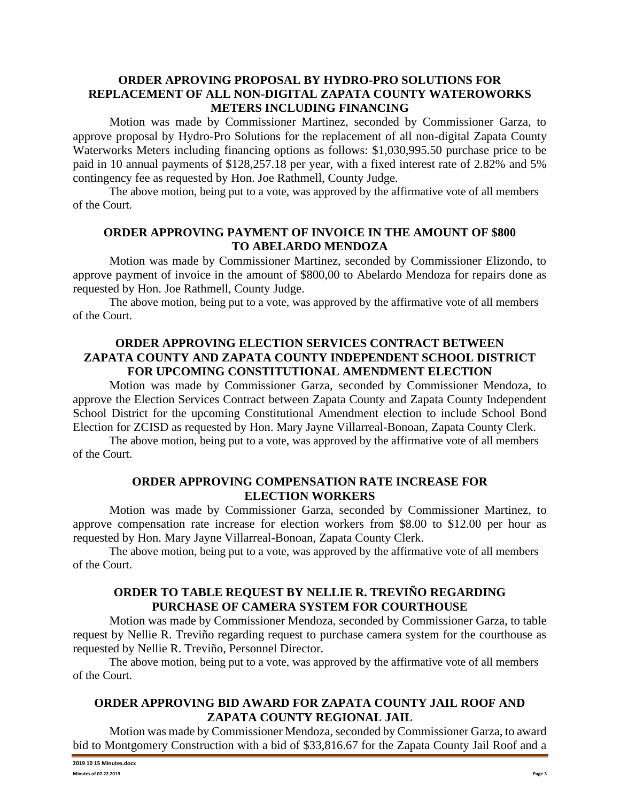## **ORDER APROVING PROPOSAL BY HYDRO-PRO SOLUTIONS FOR REPLACEMENT OF ALL NON-DIGITAL ZAPATA COUNTY WATEROWORKS METERS INCLUDING FINANCING**

Motion was made by Commissioner Martinez, seconded by Commissioner Garza, to approve proposal by Hydro-Pro Solutions for the replacement of all non-digital Zapata County Waterworks Meters including financing options as follows: \$1,030,995.50 purchase price to be paid in 10 annual payments of \$128,257.18 per year, with a fixed interest rate of 2.82% and 5% contingency fee as requested by Hon. Joe Rathmell, County Judge.

The above motion, being put to a vote, was approved by the affirmative vote of all members of the Court.

### **ORDER APPROVING PAYMENT OF INVOICE IN THE AMOUNT OF \$800 TO ABELARDO MENDOZA**

Motion was made by Commissioner Martinez, seconded by Commissioner Elizondo, to approve payment of invoice in the amount of \$800,00 to Abelardo Mendoza for repairs done as requested by Hon. Joe Rathmell, County Judge.

The above motion, being put to a vote, was approved by the affirmative vote of all members of the Court.

### **ORDER APPROVING ELECTION SERVICES CONTRACT BETWEEN ZAPATA COUNTY AND ZAPATA COUNTY INDEPENDENT SCHOOL DISTRICT FOR UPCOMING CONSTITUTIONAL AMENDMENT ELECTION**

Motion was made by Commissioner Garza, seconded by Commissioner Mendoza, to approve the Election Services Contract between Zapata County and Zapata County Independent School District for the upcoming Constitutional Amendment election to include School Bond Election for ZCISD as requested by Hon. Mary Jayne Villarreal-Bonoan, Zapata County Clerk.

The above motion, being put to a vote, was approved by the affirmative vote of all members of the Court.

### **ORDER APPROVING COMPENSATION RATE INCREASE FOR ELECTION WORKERS**

Motion was made by Commissioner Garza, seconded by Commissioner Martinez, to approve compensation rate increase for election workers from \$8.00 to \$12.00 per hour as requested by Hon. Mary Jayne Villarreal-Bonoan, Zapata County Clerk.

The above motion, being put to a vote, was approved by the affirmative vote of all members of the Court.

# **ORDER TO TABLE REQUEST BY NELLIE R. TREVIÑO REGARDING PURCHASE OF CAMERA SYSTEM FOR COURTHOUSE**

Motion was made by Commissioner Mendoza, seconded by Commissioner Garza, to table request by Nellie R. Treviño regarding request to purchase camera system for the courthouse as requested by Nellie R. Treviño, Personnel Director.

The above motion, being put to a vote, was approved by the affirmative vote of all members of the Court.

# **ORDER APPROVING BID AWARD FOR ZAPATA COUNTY JAIL ROOF AND ZAPATA COUNTY REGIONAL JAIL**

Motion was made by Commissioner Mendoza, seconded by Commissioner Garza, to award bid to Montgomery Construction with a bid of \$33,816.67 for the Zapata County Jail Roof and a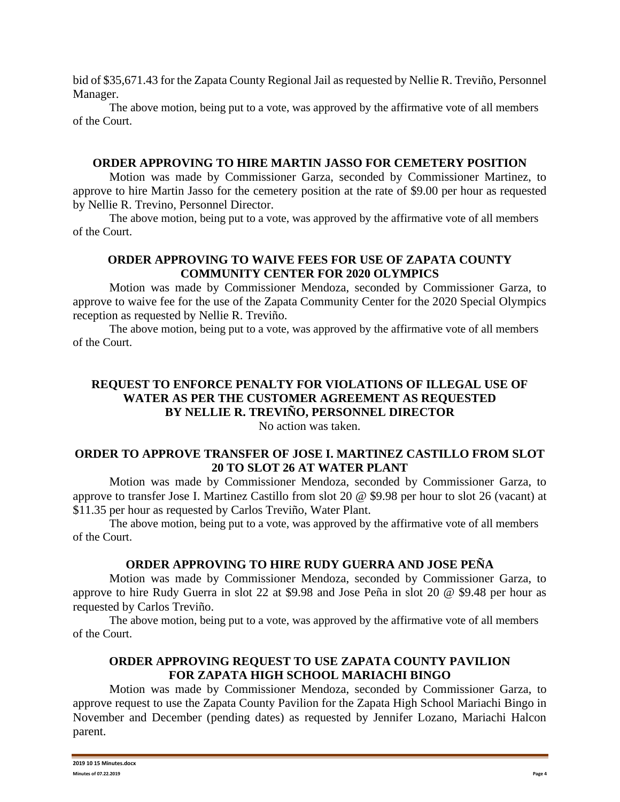bid of \$35,671.43 for the Zapata County Regional Jail as requested by Nellie R. Treviño, Personnel Manager.

The above motion, being put to a vote, was approved by the affirmative vote of all members of the Court.

### **ORDER APPROVING TO HIRE MARTIN JASSO FOR CEMETERY POSITION**

Motion was made by Commissioner Garza, seconded by Commissioner Martinez, to approve to hire Martin Jasso for the cemetery position at the rate of \$9.00 per hour as requested by Nellie R. Trevino, Personnel Director.

The above motion, being put to a vote, was approved by the affirmative vote of all members of the Court.

# **ORDER APPROVING TO WAIVE FEES FOR USE OF ZAPATA COUNTY COMMUNITY CENTER FOR 2020 OLYMPICS**

Motion was made by Commissioner Mendoza, seconded by Commissioner Garza, to approve to waive fee for the use of the Zapata Community Center for the 2020 Special Olympics reception as requested by Nellie R. Treviño.

The above motion, being put to a vote, was approved by the affirmative vote of all members of the Court.

# **REQUEST TO ENFORCE PENALTY FOR VIOLATIONS OF ILLEGAL USE OF WATER AS PER THE CUSTOMER AGREEMENT AS REQUESTED BY NELLIE R. TREVIÑO, PERSONNEL DIRECTOR**

No action was taken.

# **ORDER TO APPROVE TRANSFER OF JOSE I. MARTINEZ CASTILLO FROM SLOT 20 TO SLOT 26 AT WATER PLANT**

Motion was made by Commissioner Mendoza, seconded by Commissioner Garza, to approve to transfer Jose I. Martinez Castillo from slot 20 @ \$9.98 per hour to slot 26 (vacant) at \$11.35 per hour as requested by Carlos Treviño, Water Plant.

The above motion, being put to a vote, was approved by the affirmative vote of all members of the Court.

# **ORDER APPROVING TO HIRE RUDY GUERRA AND JOSE PEÑA**

Motion was made by Commissioner Mendoza, seconded by Commissioner Garza, to approve to hire Rudy Guerra in slot 22 at \$9.98 and Jose Peña in slot 20 @ \$9.48 per hour as requested by Carlos Treviño.

The above motion, being put to a vote, was approved by the affirmative vote of all members of the Court.

# **ORDER APPROVING REQUEST TO USE ZAPATA COUNTY PAVILION FOR ZAPATA HIGH SCHOOL MARIACHI BINGO**

Motion was made by Commissioner Mendoza, seconded by Commissioner Garza, to approve request to use the Zapata County Pavilion for the Zapata High School Mariachi Bingo in November and December (pending dates) as requested by Jennifer Lozano, Mariachi Halcon parent.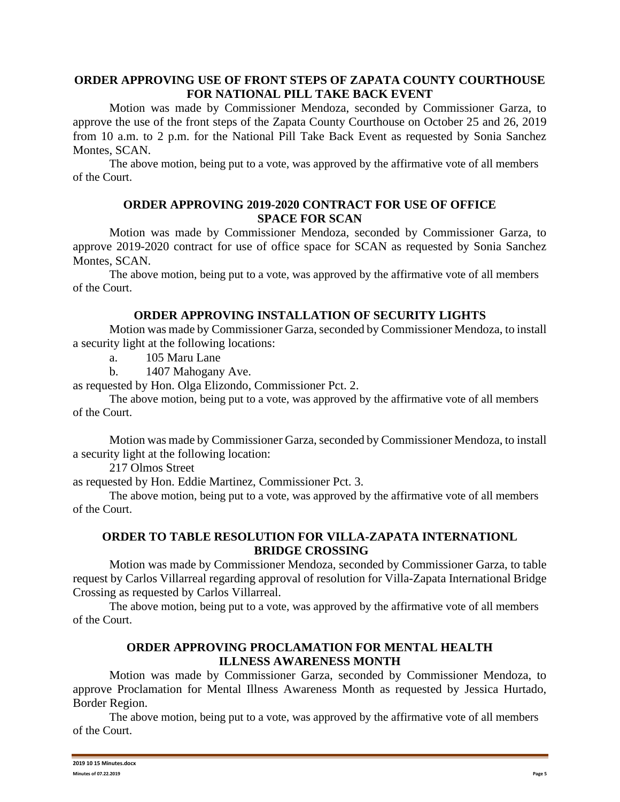### **ORDER APPROVING USE OF FRONT STEPS OF ZAPATA COUNTY COURTHOUSE FOR NATIONAL PILL TAKE BACK EVENT**

Motion was made by Commissioner Mendoza, seconded by Commissioner Garza, to approve the use of the front steps of the Zapata County Courthouse on October 25 and 26, 2019 from 10 a.m. to 2 p.m. for the National Pill Take Back Event as requested by Sonia Sanchez Montes, SCAN.

The above motion, being put to a vote, was approved by the affirmative vote of all members of the Court.

#### **ORDER APPROVING 2019-2020 CONTRACT FOR USE OF OFFICE SPACE FOR SCAN**

Motion was made by Commissioner Mendoza, seconded by Commissioner Garza, to approve 2019-2020 contract for use of office space for SCAN as requested by Sonia Sanchez Montes, SCAN.

The above motion, being put to a vote, was approved by the affirmative vote of all members of the Court.

#### **ORDER APPROVING INSTALLATION OF SECURITY LIGHTS**

Motion was made by Commissioner Garza, seconded by Commissioner Mendoza, to install a security light at the following locations:

a. 105 Maru Lane

b. 1407 Mahogany Ave.

as requested by Hon. Olga Elizondo, Commissioner Pct. 2.

The above motion, being put to a vote, was approved by the affirmative vote of all members of the Court.

Motion was made by Commissioner Garza, seconded by Commissioner Mendoza, to install a security light at the following location:

217 Olmos Street

as requested by Hon. Eddie Martinez, Commissioner Pct. 3.

The above motion, being put to a vote, was approved by the affirmative vote of all members of the Court.

#### **ORDER TO TABLE RESOLUTION FOR VILLA-ZAPATA INTERNATIONL BRIDGE CROSSING**

Motion was made by Commissioner Mendoza, seconded by Commissioner Garza, to table request by Carlos Villarreal regarding approval of resolution for Villa-Zapata International Bridge Crossing as requested by Carlos Villarreal.

The above motion, being put to a vote, was approved by the affirmative vote of all members of the Court.

## **ORDER APPROVING PROCLAMATION FOR MENTAL HEALTH ILLNESS AWARENESS MONTH**

Motion was made by Commissioner Garza, seconded by Commissioner Mendoza, to approve Proclamation for Mental Illness Awareness Month as requested by Jessica Hurtado, Border Region.

The above motion, being put to a vote, was approved by the affirmative vote of all members of the Court.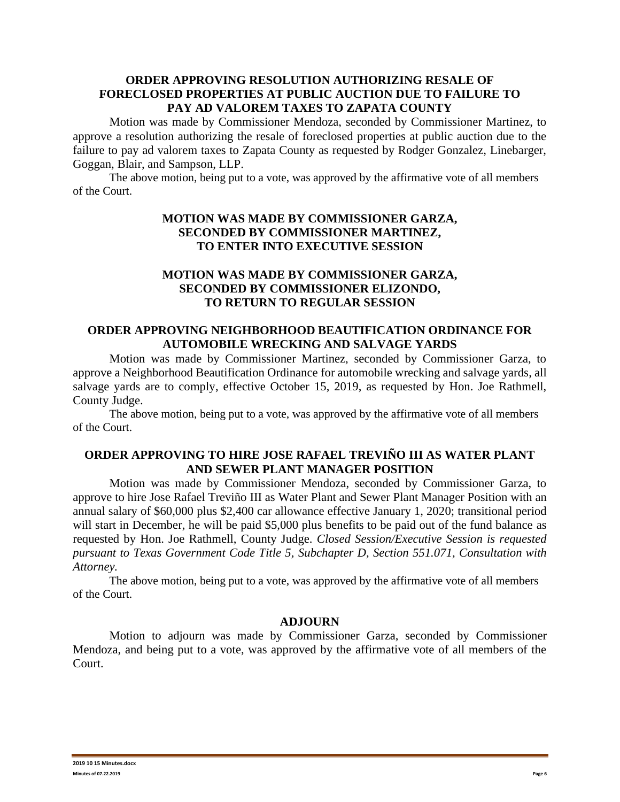### **ORDER APPROVING RESOLUTION AUTHORIZING RESALE OF FORECLOSED PROPERTIES AT PUBLIC AUCTION DUE TO FAILURE TO PAY AD VALOREM TAXES TO ZAPATA COUNTY**

Motion was made by Commissioner Mendoza, seconded by Commissioner Martinez, to approve a resolution authorizing the resale of foreclosed properties at public auction due to the failure to pay ad valorem taxes to Zapata County as requested by Rodger Gonzalez, Linebarger, Goggan, Blair, and Sampson, LLP.

The above motion, being put to a vote, was approved by the affirmative vote of all members of the Court.

# **MOTION WAS MADE BY COMMISSIONER GARZA, SECONDED BY COMMISSIONER MARTINEZ, TO ENTER INTO EXECUTIVE SESSION**

### **MOTION WAS MADE BY COMMISSIONER GARZA, SECONDED BY COMMISSIONER ELIZONDO, TO RETURN TO REGULAR SESSION**

### **ORDER APPROVING NEIGHBORHOOD BEAUTIFICATION ORDINANCE FOR AUTOMOBILE WRECKING AND SALVAGE YARDS**

Motion was made by Commissioner Martinez, seconded by Commissioner Garza, to approve a Neighborhood Beautification Ordinance for automobile wrecking and salvage yards, all salvage yards are to comply, effective October 15, 2019, as requested by Hon. Joe Rathmell, County Judge.

The above motion, being put to a vote, was approved by the affirmative vote of all members of the Court.

# **ORDER APPROVING TO HIRE JOSE RAFAEL TREVIÑO III AS WATER PLANT AND SEWER PLANT MANAGER POSITION**

Motion was made by Commissioner Mendoza, seconded by Commissioner Garza, to approve to hire Jose Rafael Treviño III as Water Plant and Sewer Plant Manager Position with an annual salary of \$60,000 plus \$2,400 car allowance effective January 1, 2020; transitional period will start in December, he will be paid \$5,000 plus benefits to be paid out of the fund balance as requested by Hon. Joe Rathmell, County Judge. *Closed Session/Executive Session is requested pursuant to Texas Government Code Title 5, Subchapter D, Section 551.071, Consultation with Attorney.*

The above motion, being put to a vote, was approved by the affirmative vote of all members of the Court.

#### **ADJOURN**

Motion to adjourn was made by Commissioner Garza, seconded by Commissioner Mendoza, and being put to a vote, was approved by the affirmative vote of all members of the Court.